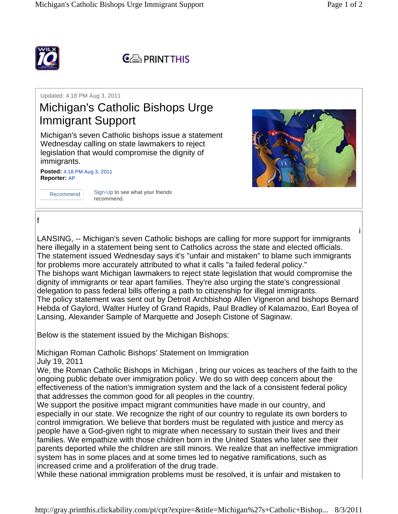i





Updated: 4:18 PM Aug 3, 2011

## Michigan's Catholic Bishops Urge Immigrant Support

Michigan's seven Catholic bishops issue a statement Wednesday calling on state lawmakers to reject legislation that would compromise the dignity of immigrants.

**Posted:** 4:18 PM Aug 3, 2011 **Reporter:** AP



Recommend Sign Up to see what your friends recommend.



f

LANSING, -- Michigan's seven Catholic bishops are calling for more support for immigrants here illegally in a statement being sent to Catholics across the state and elected officials. The statement issued Wednesday says it's "unfair and mistaken" to blame such immigrants for problems more accurately attributed to what it calls "a failed federal policy." The bishops want Michigan lawmakers to reject state legislation that would compromise the dignity of immigrants or tear apart families. They're also urging the state's congressional delegation to pass federal bills offering a path to citizenship for illegal immigrants. The policy statement was sent out by Detroit Archbishop Allen Vigneron and bishops Bernard Hebda of Gaylord, Walter Hurley of Grand Rapids, Paul Bradley of Kalamazoo, Earl Boyea of Lansing, Alexander Sample of Marquette and Joseph Cistone of Saginaw.

Below is the statement issued by the Michigan Bishops:

Michigan Roman Catholic Bishops' Statement on Immigration July 19, 2011

We, the Roman Catholic Bishops in Michigan , bring our voices as teachers of the faith to the ongoing public debate over immigration policy. We do so with deep concern about the effectiveness of the nation's immigration system and the lack of a consistent federal policy that addresses the common good for all peoples in the country.

We support the positive impact migrant communities have made in our country, and especially in our state. We recognize the right of our country to regulate its own borders to control immigration. We believe that borders must be regulated with justice and mercy as people have a God-given right to migrate when necessary to sustain their lives and their families. We empathize with those children born in the United States who later see their parents deported while the children are still minors. We realize that an ineffective immigration system has in some places and at some times led to negative ramifications, such as increased crime and a proliferation of the drug trade.

While these national immigration problems must be resolved, it is unfair and mistaken to